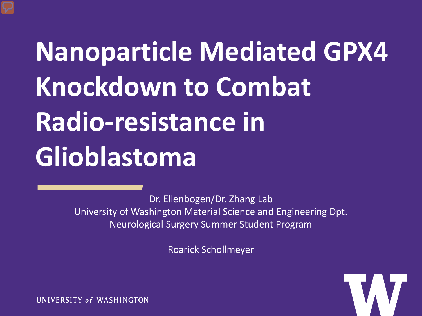# **Nanoparticle Mediated GPX4 Knockdown to Combat Radio-resistance in Glioblastoma**

Dr. Ellenbogen/Dr. Zhang Lab University of Washington Material Science and Engineering Dpt. Neurological Surgery Summer Student Program

Roarick Schollmeyer



UNIVERSITY of WASHINGTON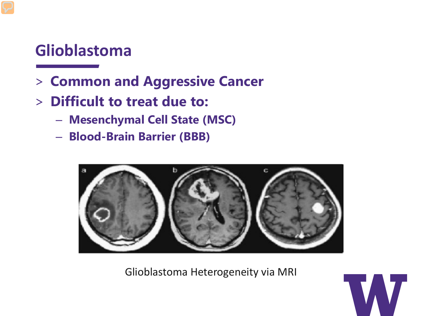# **Glioblastoma**

- > **Common and Aggressive Cancer**
- > **Difficult to treat due to:**
	- **Mesenchymal Cell State (MSC)**
	- **Blood-Brain Barrier (BBB)**



Glioblastoma Heterogeneity via MRI

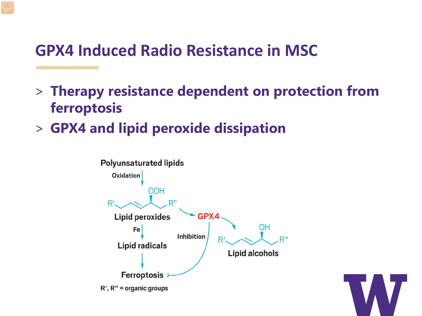# **GPX4 Induced Radio Resistance in MSC**

- > **Therapy resistance dependent on protection from ferroptosis**
- > **GPX4 and lipid peroxide dissipation**



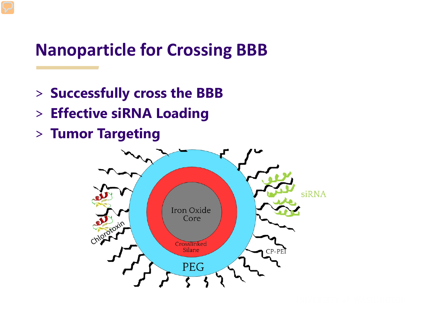# **Nanoparticle for Crossing BBB**

- > **Successfully cross the BBB**
- > **Effective siRNA Loading**
- > **Tumor Targeting**

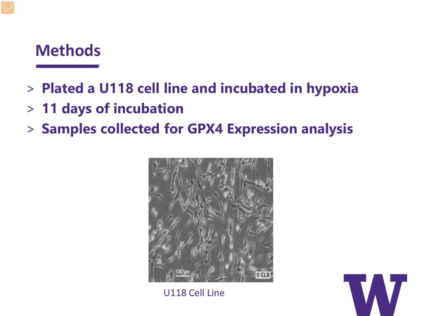# **Methods**

## > **Plated a U118 cell line and incubated in hypoxia**

- > **11 days of incubation**
- > **Samples collected for GPX4 Expression analysis**



U118 Cell Line

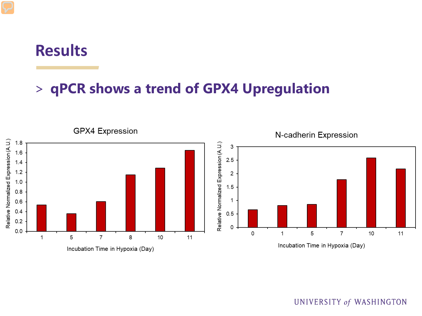### **Results**

#### > **qPCR shows a trend of GPX4 Upregulation**



#### UNIVERSITY of WASHINGTON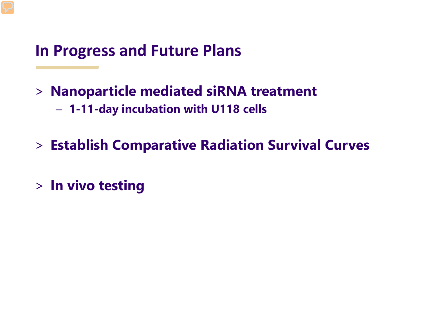# **In Progress and Future Plans**

- > **Nanoparticle mediated siRNA treatment** – **1-11-day incubation with U118 cells**
- > **Establish Comparative Radiation Survival Curves**
- > **In vivo testing**